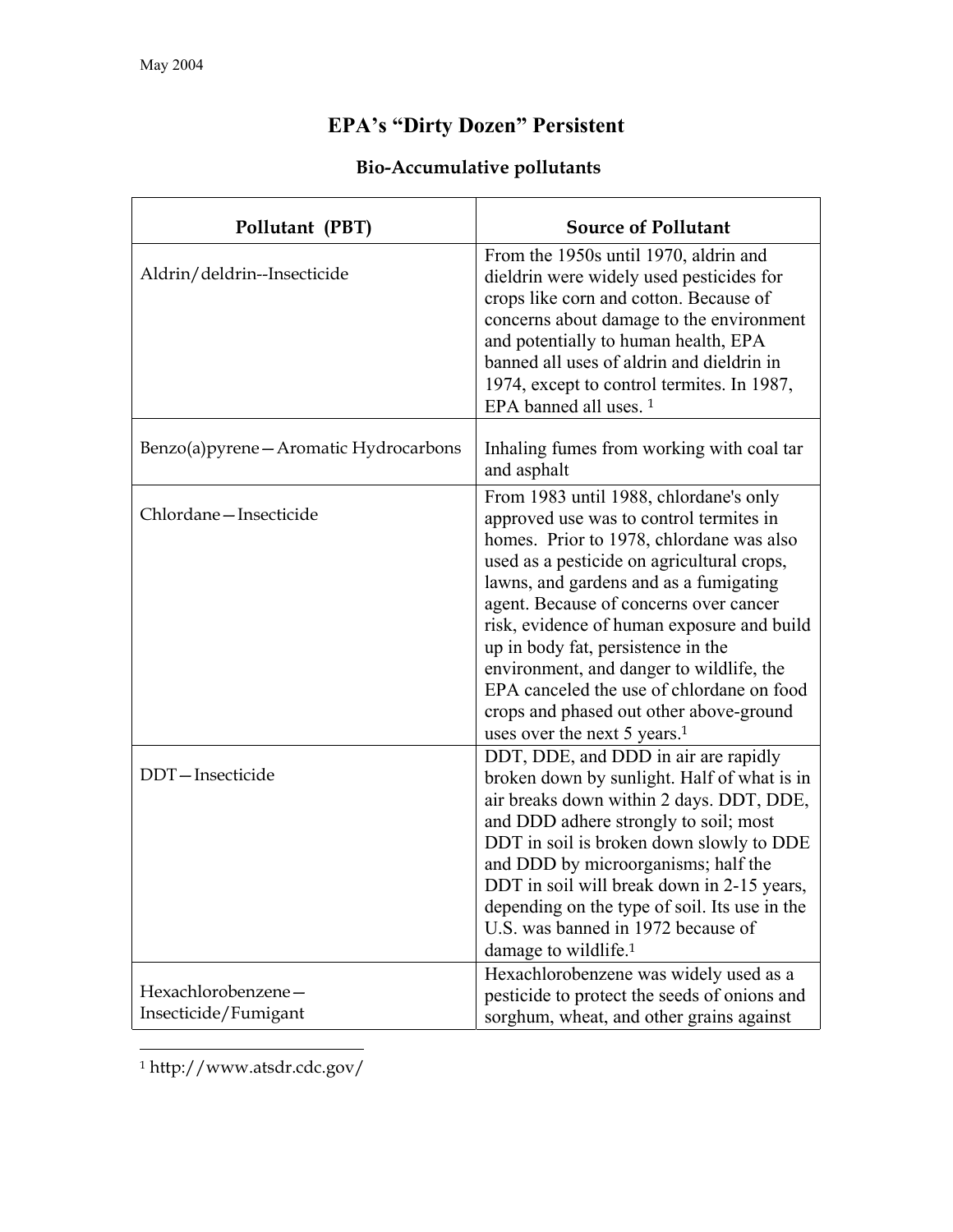$\mathbf{I}$ 

## **EPA's "Dirty Dozen" Persistent**

## **Bio-Accumulative pollutants**

| Pollutant (PBT)                            | <b>Source of Pollutant</b>                                                                                                                                                                                                                                                                                                                                                                                                                                                                                                          |
|--------------------------------------------|-------------------------------------------------------------------------------------------------------------------------------------------------------------------------------------------------------------------------------------------------------------------------------------------------------------------------------------------------------------------------------------------------------------------------------------------------------------------------------------------------------------------------------------|
| Aldrin/deldrin--Insecticide                | From the 1950s until 1970, aldrin and<br>dieldrin were widely used pesticides for<br>crops like corn and cotton. Because of<br>concerns about damage to the environment<br>and potentially to human health, EPA<br>banned all uses of aldrin and dieldrin in<br>1974, except to control termites. In 1987,<br>EPA banned all uses. <sup>1</sup>                                                                                                                                                                                     |
| Benzo(a) pyrene – Aromatic Hydrocarbons    | Inhaling fumes from working with coal tar<br>and asphalt                                                                                                                                                                                                                                                                                                                                                                                                                                                                            |
| Chlordane-Insecticide                      | From 1983 until 1988, chlordane's only<br>approved use was to control termites in<br>homes. Prior to 1978, chlordane was also<br>used as a pesticide on agricultural crops,<br>lawns, and gardens and as a fumigating<br>agent. Because of concerns over cancer<br>risk, evidence of human exposure and build<br>up in body fat, persistence in the<br>environment, and danger to wildlife, the<br>EPA canceled the use of chlordane on food<br>crops and phased out other above-ground<br>uses over the next 5 years. <sup>1</sup> |
| DDT-Insecticide                            | DDT, DDE, and DDD in air are rapidly<br>broken down by sunlight. Half of what is in<br>air breaks down within 2 days. DDT, DDE,<br>and DDD adhere strongly to soil; most<br>DDT in soil is broken down slowly to DDE<br>and DDD by microorganisms; half the<br>DDT in soil will break down in 2-15 years,<br>depending on the type of soil. Its use in the<br>U.S. was banned in 1972 because of<br>damage to wildlife. <sup>1</sup>                                                                                                |
| Hexachlorobenzene-<br>Insecticide/Fumigant | Hexachlorobenzene was widely used as a<br>pesticide to protect the seeds of onions and<br>sorghum, wheat, and other grains against                                                                                                                                                                                                                                                                                                                                                                                                  |

 $\overline{\phantom{a}}$ 1 http://www.atsdr.cdc.gov/